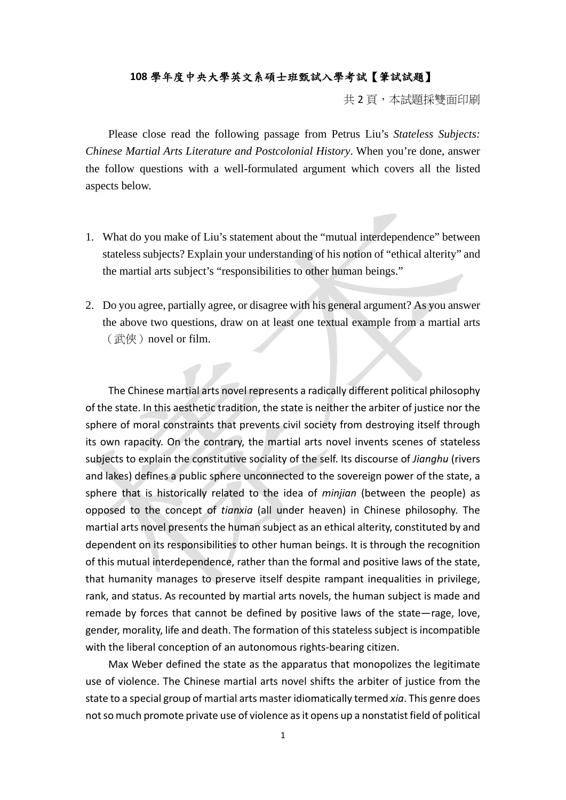## **108** 學年度中央大學英文系碩士班甄試入學考試【筆試試題】

共 2 頁,本試題採雙面印刷

Please close read the following passage from Petrus Liu's *Stateless Subjects: Chinese Martial Arts Literature and Postcolonial History*. When you're done, answer the follow questions with a well-formulated argument which covers all the listed aspects below.

- 1. What do you make of Liu's statement about the "mutual interdependence" between stateless subjects? Explain your understanding of his notion of "ethical alterity" and the martial arts subject's "responsibilities to other human beings."
- 2. Do you agree, partially agree, or disagree with his general argument? As you answer the above two questions, draw on at least one textual example from a martial arts (武俠)novel or film.

The Chinese martial arts novel represents a radically different political philosophy of the state. In this aesthetic tradition, the state is neither the arbiter of justice nor the sphere of moral constraints that prevents civil society from destroying itself through its own rapacity. On the contrary, the martial arts novel invents scenes of stateless subjects to explain the constitutive sociality of the self. Its discourse of *Jianghu* (rivers and lakes) defines a public sphere unconnected to the sovereign power of the state, a sphere that is historically related to the idea of *minjian* (between the people) as opposed to the concept of *tianxia* (all under heaven) in Chinese philosophy. The martial arts novel presents the human subject as an ethical alterity, constituted by and dependent on its responsibilities to other human beings. It is through the recognition of this mutual interdependence, rather than the formal and positive laws of the state, that humanity manages to preserve itself despite rampant inequalities in privilege, rank, and status. As recounted by martial arts novels, the human subject is made and remade by forces that cannot be defined by positive laws of the state—rage, love, gender, morality, life and death. The formation of this stateless subject is incompatible with the liberal conception of an autonomous rights‐bearing citizen.

Max Weber defined the state as the apparatus that monopolizes the legitimate use of violence. The Chinese martial arts novel shifts the arbiter of justice from the state to a special group of martial arts master idiomatically termed *xia*. This genre does not so much promote private use of violence as it opens up a nonstatist field of political